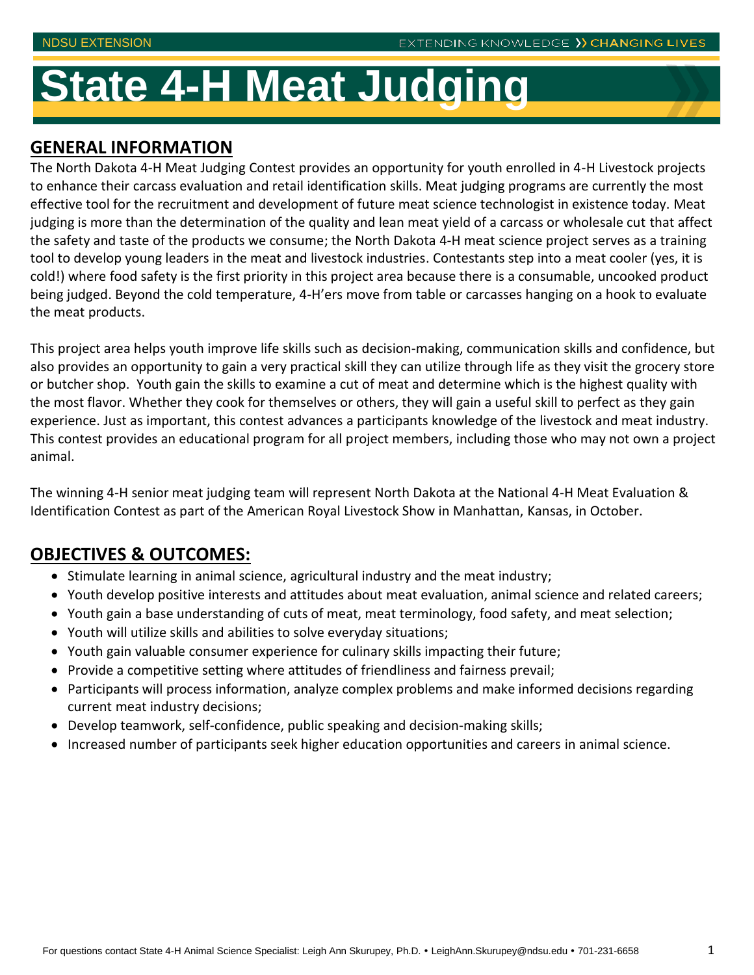# **State 4-H Meat Judging**

### **GENERAL INFORMATION**

The North Dakota 4-H Meat Judging Contest provides an opportunity for youth enrolled in 4-H Livestock projects to enhance their carcass evaluation and retail identification skills. Meat judging programs are currently the most effective tool for the recruitment and development of future meat science technologist in existence today. Meat judging is more than the determination of the quality and lean meat yield of a carcass or wholesale cut that affect the safety and taste of the products we consume; the North Dakota 4-H meat science project serves as a training tool to develop young leaders in the meat and livestock industries. Contestants step into a meat cooler (yes, it is cold!) where food safety is the first priority in this project area because there is a consumable, uncooked product being judged. Beyond the cold temperature, 4-H'ers move from table or carcasses hanging on a hook to evaluate the meat products.

This project area helps youth improve life skills such as decision-making, communication skills and confidence, but also provides an opportunity to gain a very practical skill they can utilize through life as they visit the grocery store or butcher shop. Youth gain the skills to examine a cut of meat and determine which is the highest quality with the most flavor. Whether they cook for themselves or others, they will gain a useful skill to perfect as they gain experience. Just as important, this contest advances a participants knowledge of the livestock and meat industry. This contest provides an educational program for all project members, including those who may not own a project animal.

The winning 4-H senior meat judging team will represent North Dakota at the National 4-H Meat Evaluation & Identification Contest as part of the American Royal Livestock Show in Manhattan, Kansas, in October.

# **OBJECTIVES & OUTCOMES:**

- Stimulate learning in animal science, agricultural industry and the meat industry;
- Youth develop positive interests and attitudes about meat evaluation, animal science and related careers;
- Youth gain a base understanding of cuts of meat, meat terminology, food safety, and meat selection;
- Youth will utilize skills and abilities to solve everyday situations;
- Youth gain valuable consumer experience for culinary skills impacting their future;
- Provide a competitive setting where attitudes of friendliness and fairness prevail;
- Participants will process information, analyze complex problems and make informed decisions regarding current meat industry decisions;
- Develop teamwork, self-confidence, public speaking and decision-making skills;
- Increased number of participants seek higher education opportunities and careers in animal science.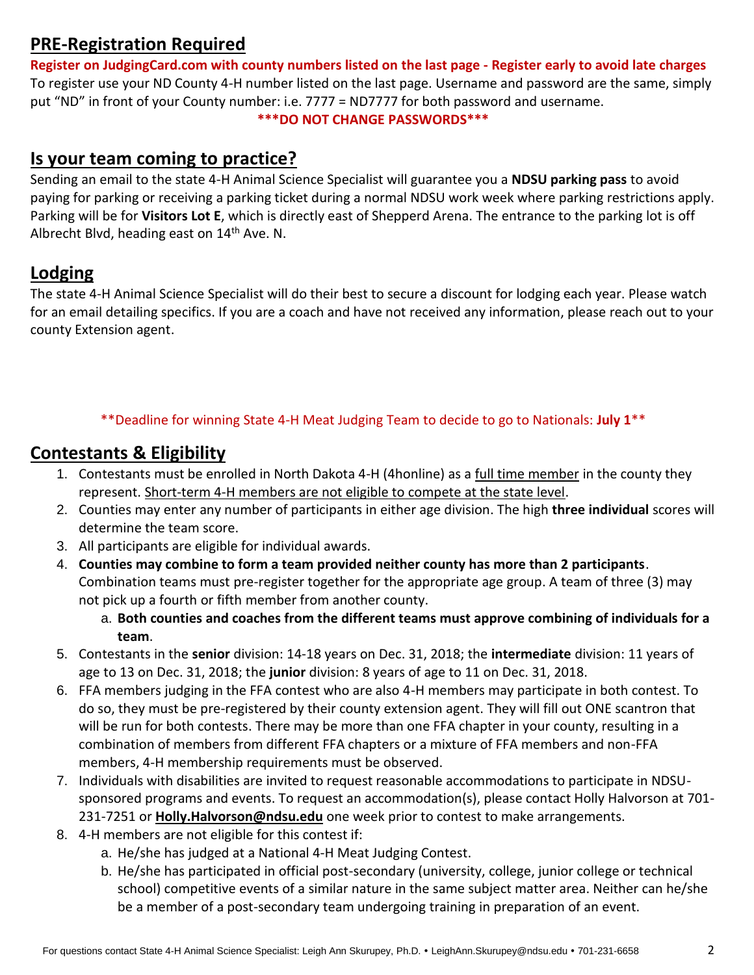## **PRE-Registration Required**

**Register on JudgingCard.com with county numbers listed on the last page - Register early to avoid late charges** To register use your ND County 4-H number listed on the last page. Username and password are the same, simply put "ND" in front of your County number: i.e. 7777 = ND7777 for both password and username. **\*\*\*DO NOT CHANGE PASSWORDS\*\*\***

#### **Is your team coming to practice?**

Sending an email to the state 4-H Animal Science Specialist will guarantee you a **NDSU parking pass** to avoid paying for parking or receiving a parking ticket during a normal NDSU work week where parking restrictions apply. Parking will be for **Visitors Lot E**, which is directly east of Shepperd Arena. The entrance to the parking lot is off Albrecht Blvd, heading east on 14<sup>th</sup> Ave. N.

# **Lodging**

The state 4-H Animal Science Specialist will do their best to secure a discount for lodging each year. Please watch for an email detailing specifics. If you are a coach and have not received any information, please reach out to your county Extension agent.

#### \*\*Deadline for winning State 4-H Meat Judging Team to decide to go to Nationals: **July 1**\*\*

### **Contestants & Eligibility**

- 1. Contestants must be enrolled in North Dakota 4-H (4honline) as a full time member in the county they represent. Short-term 4-H members are not eligible to compete at the state level.
- 2. Counties may enter any number of participants in either age division. The high **three individual** scores will determine the team score.
- 3. All participants are eligible for individual awards.
- 4. **Counties may combine to form a team provided neither county has more than 2 participants**. Combination teams must pre-register together for the appropriate age group. A team of three (3) may not pick up a fourth or fifth member from another county.
	- a. **Both counties and coaches from the different teams must approve combining of individuals for a team**.
- 5. Contestants in the **senior** division: 14-18 years on Dec. 31, 2018; the **intermediate** division: 11 years of age to 13 on Dec. 31, 2018; the **junior** division: 8 years of age to 11 on Dec. 31, 2018.
- 6. FFA members judging in the FFA contest who are also 4-H members may participate in both contest. To do so, they must be pre-registered by their county extension agent. They will fill out ONE scantron that will be run for both contests. There may be more than one FFA chapter in your county, resulting in a combination of members from different FFA chapters or a mixture of FFA members and non-FFA members, 4-H membership requirements must be observed.
- 7. Individuals with disabilities are invited to request reasonable accommodations to participate in NDSUsponsored programs and events. To request an accommodation(s), please contact Holly Halvorson at 701- 231-7251 or **[Holly.Halvorson@ndsu.edu](mailto:Holly.Halvorson@ndsu.edu)** one week prior to contest to make arrangements.
- 8. 4-H members are not eligible for this contest if:
	- a. He/she has judged at a National 4-H Meat Judging Contest.
	- b. He/she has participated in official post-secondary (university, college, junior college or technical school) competitive events of a similar nature in the same subject matter area. Neither can he/she be a member of a post-secondary team undergoing training in preparation of an event.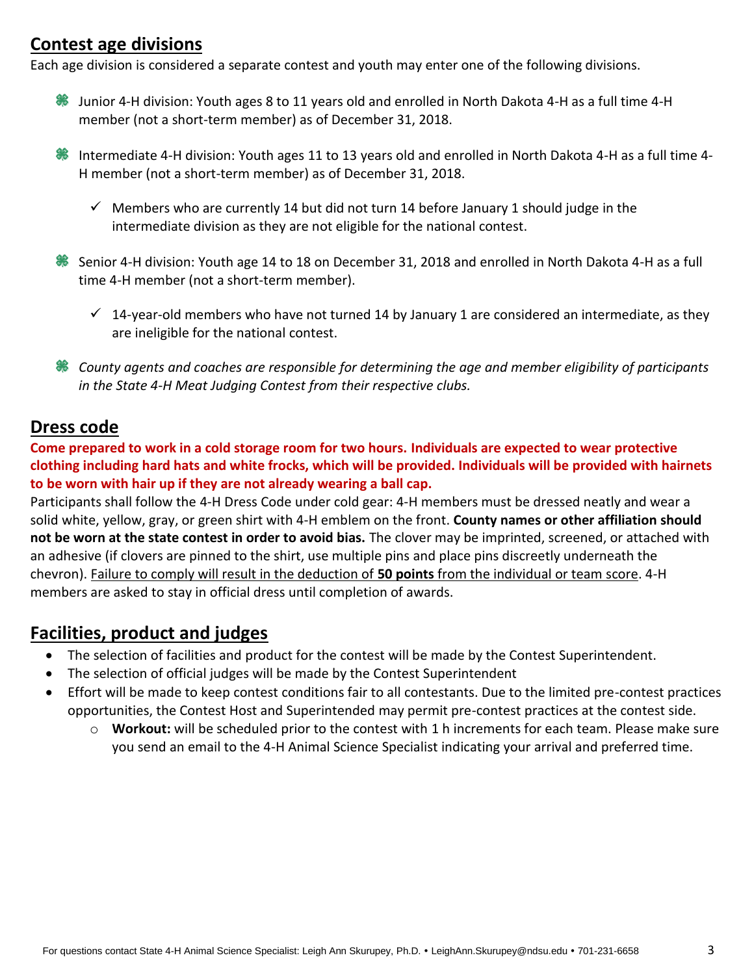## **Contest age divisions**

Each age division is considered a separate contest and youth may enter one of the following divisions.

- Junior 4-H division: Youth ages 8 to 11 years old and enrolled in North Dakota 4-H as a full time 4-H member (not a short-term member) as of December 31, 2018.
- ₩ Intermediate 4-H division: Youth ages 11 to 13 years old and enrolled in North Dakota 4-H as a full time 4- H member (not a short-term member) as of December 31, 2018.
	- $\checkmark$  Members who are currently 14 but did not turn 14 before January 1 should judge in the intermediate division as they are not eligible for the national contest.
- Senior 4-H division: Youth age 14 to 18 on December 31, 2018 and enrolled in North Dakota 4-H as a full time 4-H member (not a short-term member).
	- $\checkmark$  14-year-old members who have not turned 14 by January 1 are considered an intermediate, as they are ineligible for the national contest.
- *County agents and coaches are responsible for determining the age and member eligibility of participants in the State 4-H Meat Judging Contest from their respective clubs.*

### **Dress code**

**Come prepared to work in a cold storage room for two hours. Individuals are expected to wear protective clothing including hard hats and white frocks, which will be provided. Individuals will be provided with hairnets to be worn with hair up if they are not already wearing a ball cap.**

Participants shall follow the 4-H Dress Code under cold gear: 4-H members must be dressed neatly and wear a solid white, yellow, gray, or green shirt with 4-H emblem on the front. **County names or other affiliation should not be worn at the state contest in order to avoid bias.** The clover may be imprinted, screened, or attached with an adhesive (if clovers are pinned to the shirt, use multiple pins and place pins discreetly underneath the chevron). Failure to comply will result in the deduction of **50 points** from the individual or team score. 4-H members are asked to stay in official dress until completion of awards.

### **Facilities, product and judges**

- The selection of facilities and product for the contest will be made by the Contest Superintendent.
- The selection of official judges will be made by the Contest Superintendent
- Effort will be made to keep contest conditions fair to all contestants. Due to the limited pre-contest practices opportunities, the Contest Host and Superintended may permit pre-contest practices at the contest side.
	- o **Workout:** will be scheduled prior to the contest with 1 h increments for each team. Please make sure you send an email to the 4-H Animal Science Specialist indicating your arrival and preferred time.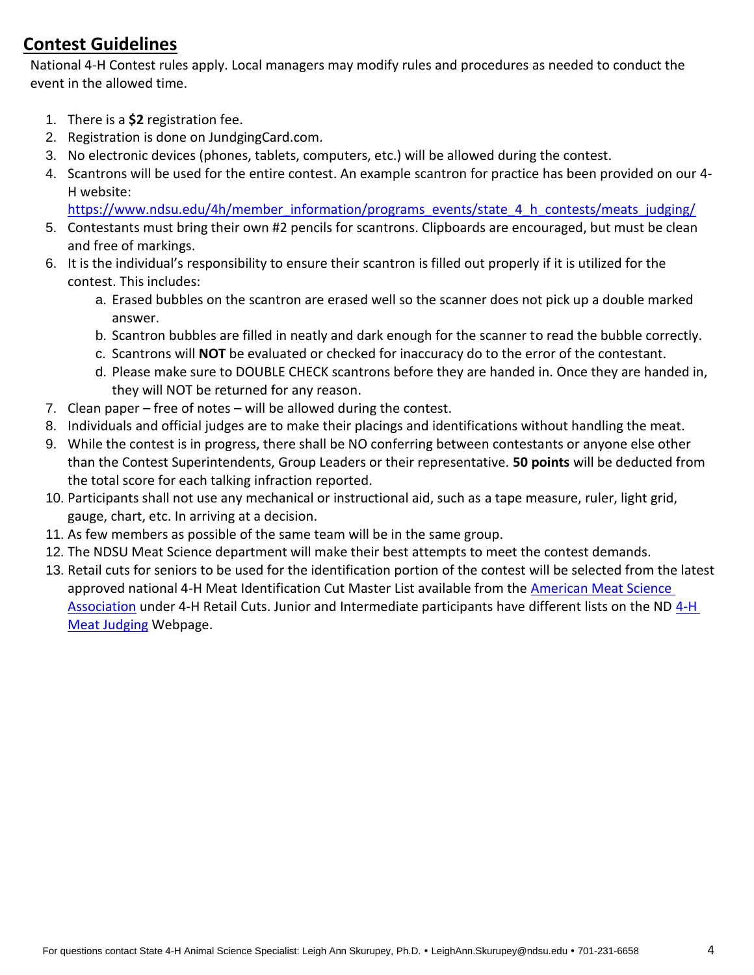# **Contest Guidelines**

National 4-H Contest rules apply. Local managers may modify rules and procedures as needed to conduct the event in the allowed time.

- 1. There is a **\$2** registration fee.
- 2. Registration is done on JundgingCard.com.
- 3. No electronic devices (phones, tablets, computers, etc.) will be allowed during the contest.
- 4. Scantrons will be used for the entire contest. An example scantron for practice has been provided on our 4- H website:

[https://www.ndsu.edu/4h/member\\_information/programs\\_events/state\\_4\\_h\\_contests/meats\\_judging/](https://www.ndsu.edu/4h/member_information/programs_events/state_4_h_contests/meats_judging/)

- 5. Contestants must bring their own #2 pencils for scantrons. Clipboards are encouraged, but must be clean and free of markings.
- 6. It is the individual's responsibility to ensure their scantron is filled out properly if it is utilized for the contest. This includes:
	- a. Erased bubbles on the scantron are erased well so the scanner does not pick up a double marked answer.
	- b. Scantron bubbles are filled in neatly and dark enough for the scanner to read the bubble correctly.
	- c. Scantrons will **NOT** be evaluated or checked for inaccuracy do to the error of the contestant.
	- d. Please make sure to DOUBLE CHECK scantrons before they are handed in. Once they are handed in, they will NOT be returned for any reason.
- 7. Clean paper free of notes will be allowed during the contest.
- 8. Individuals and official judges are to make their placings and identifications without handling the meat.
- 9. While the contest is in progress, there shall be NO conferring between contestants or anyone else other than the Contest Superintendents, Group Leaders or their representative. **50 points** will be deducted from the total score for each talking infraction reported.
- 10. Participants shall not use any mechanical or instructional aid, such as a tape measure, ruler, light grid, gauge, chart, etc. In arriving at a decision.
- 11. As few members as possible of the same team will be in the same group.
- 12. The NDSU Meat Science department will make their best attempts to meet the contest demands.
- 13. Retail cuts for seniors to be used for the identification portion of the contest will be selected from the latest approved national 4-H Meat Identification Cut Master List available from the [American Meat Science](https://meatscience.org/students/meat-judging-program/national-4-h-meat-judging)  [Association](https://meatscience.org/students/meat-judging-program/national-4-h-meat-judging) under [4-H](https://www.ndsu.edu/4h/programs_events/state_4_h_contests/meats_judging/) Retail Cuts. Junior and Intermediate participants have different lists on the ND 4-H [Meat Judging](https://www.ndsu.edu/4h/programs_events/state_4_h_contests/meats_judging/) Webpage.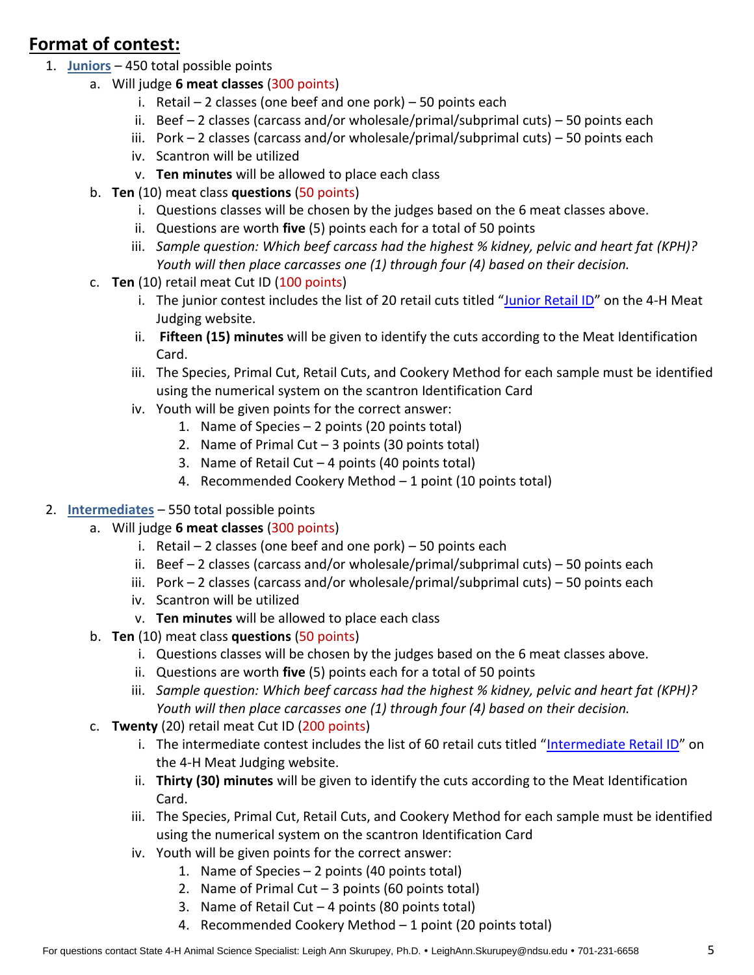# **Format of contest:**

- 1. **Juniors** 450 total possible points
	- a. Will judge **6 meat classes** (300 points)
		- i. Retail  $-2$  classes (one beef and one pork)  $-50$  points each
		- ii. Beef  $-2$  classes (carcass and/or wholesale/primal/subprimal cuts)  $-50$  points each
		- iii. Pork  $-2$  classes (carcass and/or wholesale/primal/subprimal cuts)  $-50$  points each
		- iv. Scantron will be utilized
		- v. **Ten minutes** will be allowed to place each class
	- b. **Ten** (10) meat class **questions** (50 points)
		- i. Questions classes will be chosen by the judges based on the 6 meat classes above.
		- ii. Questions are worth **five** (5) points each for a total of 50 points
		- iii. *Sample question: Which beef carcass had the highest % kidney, pelvic and heart fat (KPH)? Youth will then place carcasses one (1) through four (4) based on their decision.*
	- c. **Ten** (10) retail meat Cut ID (100 points)
		- i. The junior contest includes the list of 20 retail cuts titled "Junior [Retail ID](https://www.ndsu.edu/4h/programs_events/state_4_h_contests/meats_judging/)" on the 4-H Meat Judging website.
		- ii. **Fifteen (15) minutes** will be given to identify the cuts according to the Meat Identification Card.
		- iii. The Species, Primal Cut, Retail Cuts, and Cookery Method for each sample must be identified using the numerical system on the scantron Identification Card
		- iv. Youth will be given points for the correct answer:
			- 1. Name of Species 2 points (20 points total)
			- 2. Name of Primal Cut  $-3$  points (30 points total)
			- 3. Name of Retail Cut  $-4$  points (40 points total)
			- 4. Recommended Cookery Method 1 point (10 points total)
- 2. **Intermediates** 550 total possible points
	- a. Will judge **6 meat classes** (300 points)
		- i. Retail  $-2$  classes (one beef and one pork)  $-50$  points each
		- ii. Beef  $-2$  classes (carcass and/or wholesale/primal/subprimal cuts)  $-50$  points each
		- iii. Pork 2 classes (carcass and/or wholesale/primal/subprimal cuts) 50 points each
		- iv. Scantron will be utilized
		- v. **Ten minutes** will be allowed to place each class
	- b. **Ten** (10) meat class **questions** (50 points)
		- i. Questions classes will be chosen by the judges based on the 6 meat classes above.
		- ii. Questions are worth **five** (5) points each for a total of 50 points
		- iii. *Sample question: Which beef carcass had the highest % kidney, pelvic and heart fat (KPH)? Youth will then place carcasses one (1) through four (4) based on their decision.*
	- c. **Twenty** (20) retail meat Cut ID (200 points)
		- i. The intermediate contest includes the list of 60 retail cuts titled "[Intermediate Retail ID](https://www.ndsu.edu/4h/programs_events/state_4_h_contests/meats_judging/)" on the 4-H Meat Judging website.
		- ii. **Thirty (30) minutes** will be given to identify the cuts according to the Meat Identification Card.
		- iii. The Species, Primal Cut, Retail Cuts, and Cookery Method for each sample must be identified using the numerical system on the scantron Identification Card
		- iv. Youth will be given points for the correct answer:
			- 1. Name of Species 2 points (40 points total)
				- 2. Name of Primal Cut  $-3$  points (60 points total)
				- 3. Name of Retail Cut  $-4$  points (80 points total)
				- 4. Recommended Cookery Method 1 point (20 points total)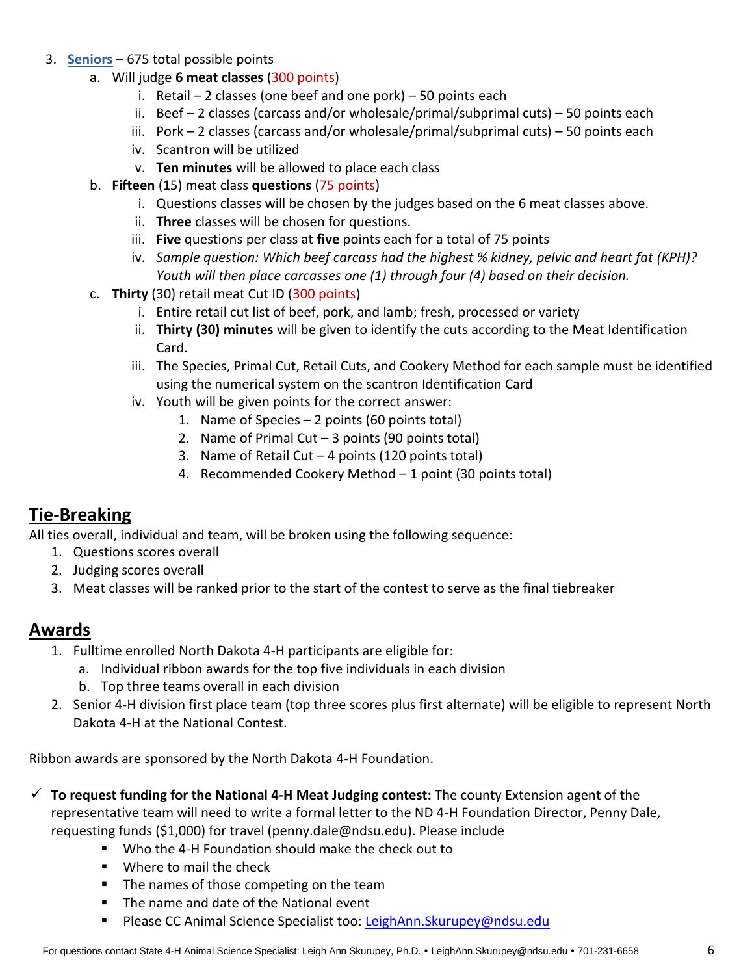- 3. **Seniors** 675 total possible points
	- a. Will judge **6 meat classes** (300 points)
		- i. Retail  $-2$  classes (one beef and one pork)  $-50$  points each
		- ii. Beef  $-2$  classes (carcass and/or wholesale/primal/subprimal cuts)  $-50$  points each
		- iii. Pork  $-2$  classes (carcass and/or wholesale/primal/subprimal cuts)  $-50$  points each
		- iv. Scantron will be utilized
		- v. **Ten minutes** will be allowed to place each class
	- b. **Fifteen** (15) meat class **questions** (75 points)
		- i. Questions classes will be chosen by the judges based on the 6 meat classes above.
		- ii. **Three** classes will be chosen for questions.
		- iii. **Five** questions per class at **five** points each for a total of 75 points
		- iv. *Sample question: Which beef carcass had the highest % kidney, pelvic and heart fat (KPH)? Youth will then place carcasses one (1) through four (4) based on their decision.*
	- c. **Thirty** (30) retail meat Cut ID (300 points)
		- i. Entire retail cut list of beef, pork, and lamb; fresh, processed or variety
		- ii. **Thirty (30) minutes** will be given to identify the cuts according to the Meat Identification Card.
		- iii. The Species, Primal Cut, Retail Cuts, and Cookery Method for each sample must be identified using the numerical system on the scantron Identification Card
		- iv. Youth will be given points for the correct answer:
			- 1. Name of Species 2 points (60 points total)
			- 2. Name of Primal Cut  $-3$  points (90 points total)
			- 3. Name of Retail Cut  $-4$  points (120 points total)
			- 4. Recommended Cookery Method 1 point (30 points total)

# **Tie-Breaking**

All ties overall, individual and team, will be broken using the following sequence:

- 1. Questions scores overall
- 2. Judging scores overall
- 3. Meat classes will be ranked prior to the start of the contest to serve as the final tiebreaker

### **Awards**

- 1. Fulltime enrolled North Dakota 4-H participants are eligible for:
	- a. Individual ribbon awards for the top five individuals in each division
	- b. Top three teams overall in each division
- 2. Senior 4-H division first place team (top three scores plus first alternate) will be eligible to represent North Dakota 4-H at the National Contest.

Ribbon awards are sponsored by the North Dakota 4-H Foundation.

- **To request funding for the National 4-H Meat Judging contest:** The county Extension agent of the representative team will need to write a formal letter to the ND 4-H Foundation Director, Penny Dale, requesting funds (\$1,000) for travel (penny.dale@ndsu.edu). Please include
	- Who the 4-H Foundation should make the check out to
	- **Where to mail the check**
	- **The names of those competing on the team**
	- The name and date of the National event
	- Please CC Animal Science Specialist too: LeighAnn. Skurupey@ndsu.edu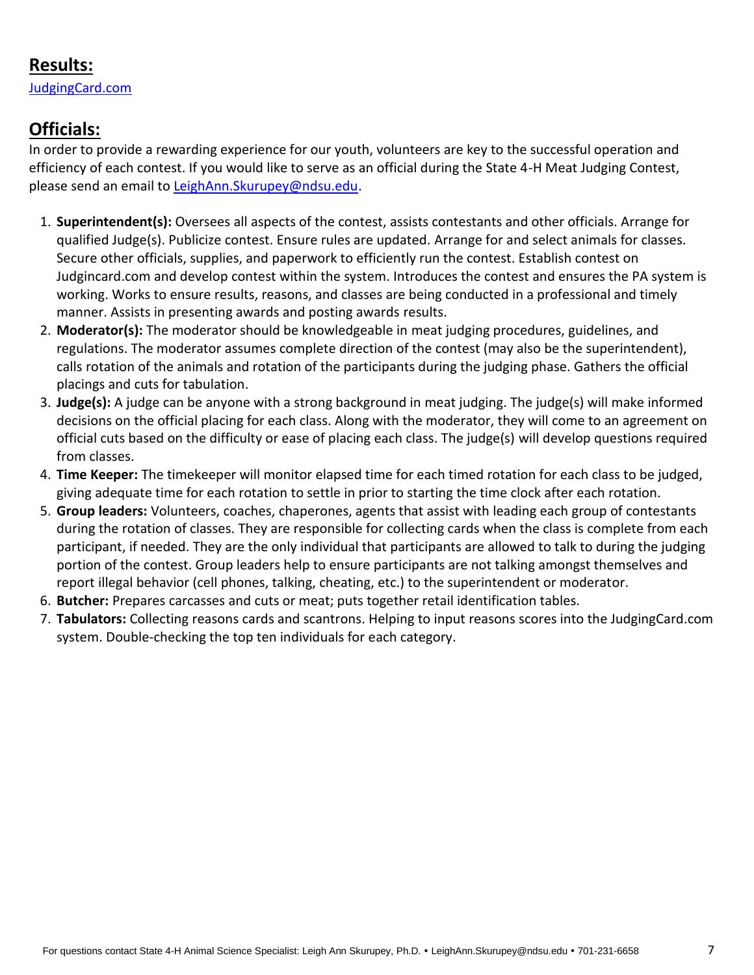## **Results:**

[JudgingCard.com](https://www.judgingcard.com/Results/)

# **Officials:**

In order to provide a rewarding experience for our youth, volunteers are key to the successful operation and efficiency of each contest. If you would like to serve as an official during the State 4-H Meat Judging Contest, please send an email to [LeighAnn.Skurupey@ndsu.edu.](mailto:LeighAnn.Skurupey@ndsu.edu)

- 1. **Superintendent(s):** Oversees all aspects of the contest, assists contestants and other officials. Arrange for qualified Judge(s). Publicize contest. Ensure rules are updated. Arrange for and select animals for classes. Secure other officials, supplies, and paperwork to efficiently run the contest. Establish contest on Judgincard.com and develop contest within the system. Introduces the contest and ensures the PA system is working. Works to ensure results, reasons, and classes are being conducted in a professional and timely manner. Assists in presenting awards and posting awards results.
- 2. **Moderator(s):** The moderator should be knowledgeable in meat judging procedures, guidelines, and regulations. The moderator assumes complete direction of the contest (may also be the superintendent), calls rotation of the animals and rotation of the participants during the judging phase. Gathers the official placings and cuts for tabulation.
- 3. **Judge(s):** A judge can be anyone with a strong background in meat judging. The judge(s) will make informed decisions on the official placing for each class. Along with the moderator, they will come to an agreement on official cuts based on the difficulty or ease of placing each class. The judge(s) will develop questions required from classes.
- 4. **Time Keeper:** The timekeeper will monitor elapsed time for each timed rotation for each class to be judged, giving adequate time for each rotation to settle in prior to starting the time clock after each rotation.
- 5. **Group leaders:** Volunteers, coaches, chaperones, agents that assist with leading each group of contestants during the rotation of classes. They are responsible for collecting cards when the class is complete from each participant, if needed. They are the only individual that participants are allowed to talk to during the judging portion of the contest. Group leaders help to ensure participants are not talking amongst themselves and report illegal behavior (cell phones, talking, cheating, etc.) to the superintendent or moderator.
- 6. **Butcher:** Prepares carcasses and cuts or meat; puts together retail identification tables.
- 7. **Tabulators:** Collecting reasons cards and scantrons. Helping to input reasons scores into the JudgingCard.com system. Double-checking the top ten individuals for each category.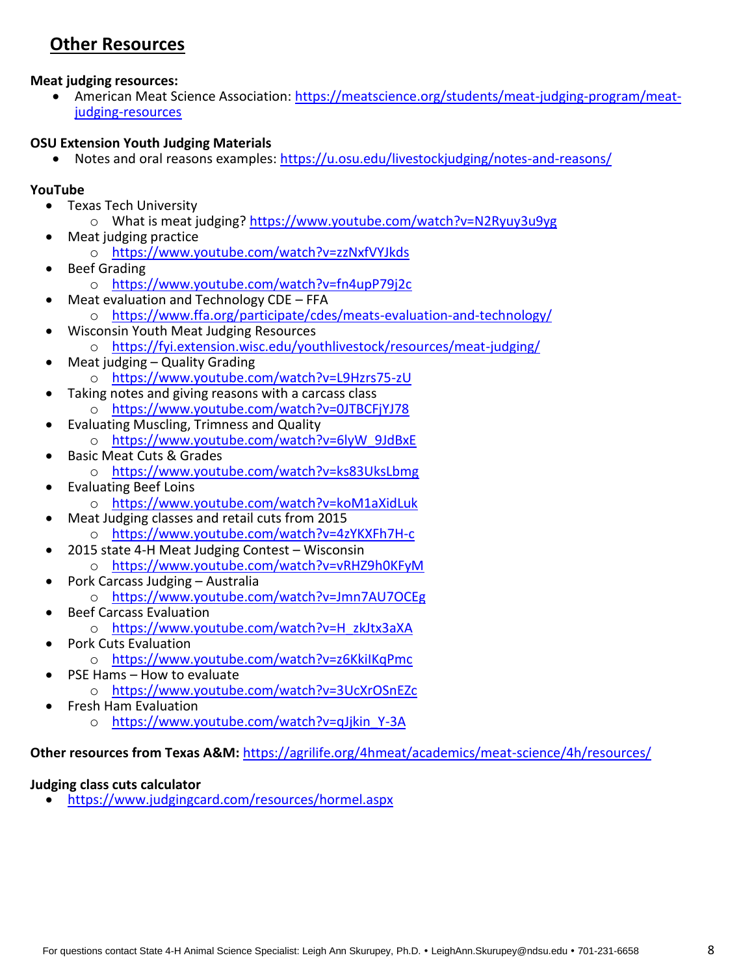# **Other Resources**

**Meat judging resources:**

 American Meat Science Association: [https://meatscience.org/students/meat-judging-program/meat](https://meatscience.org/students/meat-judging-program/meat-judging-resources)[judging-resources](https://meatscience.org/students/meat-judging-program/meat-judging-resources)

#### **OSU Extension Youth Judging Materials**

• Notes and oral reasons examples:<https://u.osu.edu/livestockjudging/notes-and-reasons/>

#### **YouTube**

- Texas Tech University
	- o What is meat judging?<https://www.youtube.com/watch?v=N2Ryuy3u9yg>
- Meat judging practice
	- o <https://www.youtube.com/watch?v=zzNxfVYJkds>
- Beef Grading
	- o <https://www.youtube.com/watch?v=fn4upP79j2c>
	- Meat evaluation and Technology CDE FFA
		- o <https://www.ffa.org/participate/cdes/meats-evaluation-and-technology/>
- Wisconsin Youth Meat Judging Resources o <https://fyi.extension.wisc.edu/youthlivestock/resources/meat-judging/>
- Meat judging Quality Grading o <https://www.youtube.com/watch?v=L9Hzrs75-zU>
- Taking notes and giving reasons with a carcass class o <https://www.youtube.com/watch?v=0JTBCFjYJ78>
- Evaluating Muscling, Trimness and Quality o [https://www.youtube.com/watch?v=6lyW\\_9JdBxE](https://www.youtube.com/watch?v=6lyW_9JdBxE)
- Basic Meat Cuts & Grades
	- o <https://www.youtube.com/watch?v=ks83UksLbmg>
- Evaluating Beef Loins o <https://www.youtube.com/watch?v=koM1aXidLuk>
- Meat Judging classes and retail cuts from 2015
	- o <https://www.youtube.com/watch?v=4zYKXFh7H-c>
- 2015 state 4-H Meat Judging Contest Wisconsin o <https://www.youtube.com/watch?v=vRHZ9h0KFyM>
- Pork Carcass Judging Australia
	- o <https://www.youtube.com/watch?v=Jmn7AU7OCEg>
- Beef Carcass Evaluation
	- o [https://www.youtube.com/watch?v=H\\_zkJtx3aXA](https://www.youtube.com/watch?v=H_zkJtx3aXA)
	- Pork Cuts Evaluation
		- o <https://www.youtube.com/watch?v=z6KkiIKqPmc>
- PSE Hams How to evaluate
	- o <https://www.youtube.com/watch?v=3UcXrOSnEZc>
- Fresh Ham Evaluation
	- o [https://www.youtube.com/watch?v=qJjkin\\_Y-3A](https://www.youtube.com/watch?v=qJjkin_Y-3A)

**Other resources from Texas A&M:** <https://agrilife.org/4hmeat/academics/meat-science/4h/resources/>

#### **Judging class cuts calculator**

<https://www.judgingcard.com/resources/hormel.aspx>